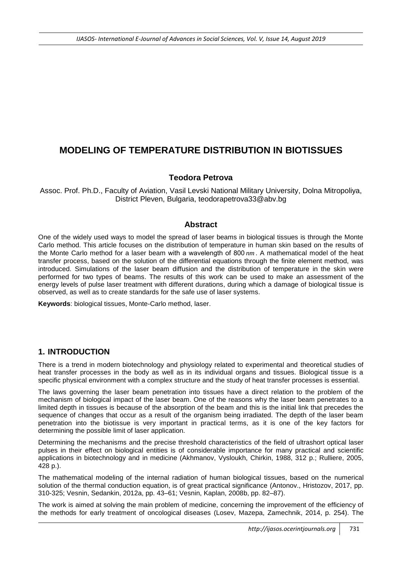# **MODELING OF TEMPERATURE DISTRIBUTION IN BIOTISSUES**

#### **Teodora Petrova**

Assoc. Prof. Ph.D., Faculty of Aviation, Vasil Levski National Military University, Dolna Mitropoliya, District Pleven, Bulgaria, [teodorapetrova33@abv.bg](mailto:teodorapetrova33@abv.bg)

#### **Abstract**

One of the widely used ways to model the spread of laser beams in biological tissues is through the Monte Carlo method. This article focuses on the distribution of temperature in human skin based on the results of the Monte Carlo method for a laser beam with а wavelength of 800 *nm* . A mathematical model of the heat transfer process, based on the solution of the differential equations through the finite element method, was introduced. Simulations of the laser beam diffusion and the distribution of temperature in the skin were performed for two types of beams. The results of this work can be used to make an assessment of the energy levels of pulse laser treatment with different durations, during which a damage of biological tissue is observed, as well as to create standards for the safe use of laser systems.

**Keywords**: biological tissues, Monte-Carlo method, laser.

### **1. INTRODUCTION**

There is a trend in modern biotechnology and physiology related to experimental and theoretical studies of heat transfer processes in the body as well as in its individual organs and tissues. Biological tissue is a specific physical environment with a complex structure and the study of heat transfer processes is essential.

The laws governing the laser beam penetration into tissues have a direct relation to the problem of the mechanism of biological impact of the laser beam. One of the reasons why the laser beam penetrates to a limited depth in tissues is because of the absorption of the beam and this is the initial link that precedes the sequence of changes that occur as a result of the organism being irradiated. The depth of the laser beam penetration into the biotissue is very important in practical terms, as it is one of the key factors for determining the possible limit of laser application.

Determining the mechanisms and the precise threshold characteristics of the field of ultrashort optical laser pulses in their effect on biological entities is of considerable importance for many practical and scientific applications in biotechnology and in medicine (Akhmanov, Vysloukh, Chirkin, 1988, 312 p.; Rulliere, 2005, 428 p.).

The mathematical modeling of the internal radiation of human biological tissues, based on the numerical solution of the thermal conduction equation, is of great practical significance (Antonov., Hristozov, 2017, pp. 310-325; Vesnin, Sedankin, 2012a, pp. 43–61; Vesnin, Kaplan, 2008b, pp. 82–87).

The work is aimed at solving the main problem of medicine, concerning the improvement of the efficiency of the methods for early treatment of oncological diseases (Losev, Mazepa, Zamechnik, 2014, p. 254). The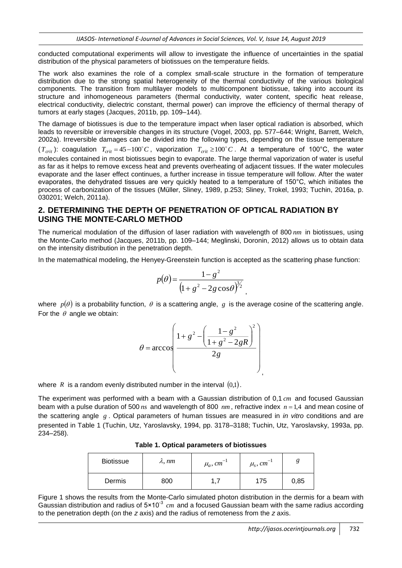conducted computational experiments will allow to investigate the influence of uncertainties in the spatial distribution of the physical parameters of biotissues on the temperature fields.

The work also examines the role of a complex small-scale structure in the formation of temperature distribution due to the strong spatial heterogeneity of the thermal conductivity of the various biological components. The transition from multilayer models to multicomponent biotissue, taking into account its structure and inhomogeneous parameters (thermal conductivity, water content, specific heat release, electrical conductivity, dielectric constant, thermal power) can improve the efficiency of thermal therapy of tumors at early stages (Jacques, 2011b, pp. 109–144).

The damage of biotissues is due to the temperature impact when laser optical radiation is absorbed, which leads to reversible or irreversible changes in its structure (Vogel, 2003, pp. 577–644; Wright, Barrett, Welch, 2002a). Irreversible damages can be divided into the following types, depending on the tissue temperature  $(T_{crit})$ : coagulation  $T_{crit} = 45-100^{\circ}C$ , vaporization  $T_{crit} \ge 100^{\circ}C$ . At a temperature of 100°C, the water molecules contained in most biotissues begin to evaporate. The large thermal vaporization of water is useful as far as it helps to remove excess heat and prevents overheating of adjacent tissues. If the water molecules evaporate and the laser effect continues, a further increase in tissue temperature will follow. After the water evaporates, the dehydrated tissues are very quickly heated to a temperature of 150°C, which initiates the process of carbonization of the tissues (Müller, Sliney, 1989, p.253; Sliney, Trokel, 1993; Tuchin, 2016a, p. 030201; Welch, 2011a).

### **2. DETERMINING THE DEPTH OF PENETRATION OF OPTICAL RADIATION BY USING THE MONTE-CARLO METHOD**

The numerical modulation of the diffusion of laser radiation with wavelength of 800 *nm* in biotissues, using the Monte-Carlo method (Jacques, 2011b, pp. 109–144; Meglinski, Doronin, 2012) allows us to obtain data on the intensity distribution in the penetration depth.

In the matemathical modeling, the Henyey-Greenstein function is accepted as the scattering phase function:

$$
p(\theta) = \frac{1 - g^2}{\left(1 + g^2 - 2g\cos\theta\right)^{3/2}},
$$

where  $p(\theta)$  is a probability function,  $\theta$  is a scattering angle,  $g$  is the average cosine of the scattering angle. For the  $\theta$  angle we obtain:

$$
\theta = \arccos \left( \frac{1 + g^2 - \left( \frac{1 - g^2}{1 + g^2 - 2gR} \right)^2}{2g} \right)
$$

where R is a random evenly distributed number in the interval  $(0,1)$ .

The experiment was performed with a beam with a Gaussian distribution of 0,1 *cm* and focused Gaussian beam with a pulse duration of 500  $ns$  and wavelength of 800  $nm$ , refractive index  $n = 1,4$  and mean cosine of the scattering angle g. Optical parameters of human tissues are measured in *in vitro* conditions and are presented in Table 1 (Tuchin, Utz, Yaroslavsky, 1994, pp. 3178–3188; Tuchin, Utz, Yaroslavsky, 1993a, pp. 234–258).

| <b>Biotissue</b> | $\lambda$ , nm | $\mu_a$ , cm <sup>-1</sup> | $\mu_s$ , cm <sup>-1</sup> |      |
|------------------|----------------|----------------------------|----------------------------|------|
| Dermis           | 800            |                            | 175                        | 0,85 |

**Table 1. Optical parameters of biotissues**

Figure 1 shows the results from the Monte-Carlo simulated photon distribution in the dermis for a beam with Gaussian distribution and radius of 5×10<sup>-3</sup> cm and a focused Gaussian beam with the same radius according to the penetration depth (on the *z* axis) and the radius of remoteness from the *z* axis.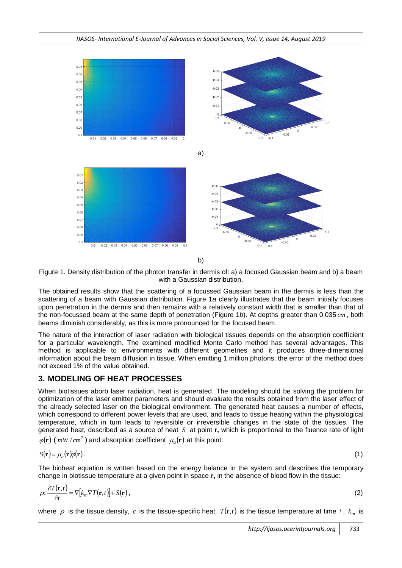

b)

Figure 1. Density distribution of the photon transfer in dermis of: a) a focused Gaussian beam and b) a beam with a Gaussian distribution.

The obtained results show that the scattering of a focussed Gaussian beam in the dermis is less than the scattering of a beam with Gaussian distribution. Figure 1*a* clearly illustrates that the beam initially focuses upon penetration in the dermis and then remains with a relatively constant width that is smaller than that of the non-focussed beam at the same depth of penetration (Figure 1*b*). At depths greater than 0.035 *cm* , both beams diminish considerably, as this is more pronounced for the focused beam.

The nature of the interaction of laser radiation with biological tissues depends on the absorption coefficient for a particular wavelength. The examined modified Monte Carlo method has several advantages. This method is applicable to environments with different geometries and it produces three-dimensional information about the beam diffusion in tissue. When emitting 1 million photons, the error of the method does not exceed 1% of the value obtained.

# **3. MODELING OF HEAT PROCESSES**

When biotissues aborb laser radiation, heat is generated. The modeling should be solving the problem for optimization of the laser emitter parameters and should evaluate the results obtained from the laser effect of the already selected laser on the biological environment. The generated heat causes a number of effects, which correspond to different power levels that are used, and leads to tissue heating within the physiological temperature, which in turn leads to reversible or irreversible changes in the state of the tissues. The generated heat, described as a source of heat *S* at point **r,** which is proportional to the fluence rate of light  $\varphi(\mathbf{r})$  (*mW* / *cm*<sup>2</sup>) and absorption coefficient  $\mu_a(\mathbf{r})$  at this point:

$$
S(\mathbf{r}) = \mu_a(\mathbf{r})\varphi(\mathbf{r}). \tag{1}
$$

The bioheat equation is written based on the energy balance in the system and describes the temporary change in biotissue temperature at a given point in space **r,** in the absence of blood flow in the tissue:

$$
\rho c \frac{\partial T(\mathbf{r},t)}{\partial t} = \nabla [k_m \nabla T(\mathbf{r},t)] + S(\mathbf{r}),
$$
\n(2)

where  $\rho$  is the tissue density,  $c$  is the tissue-specific heat,  $T(\mathbf{r},t)$  is the tissue temperature at time  $t$ ,  $k_m$  is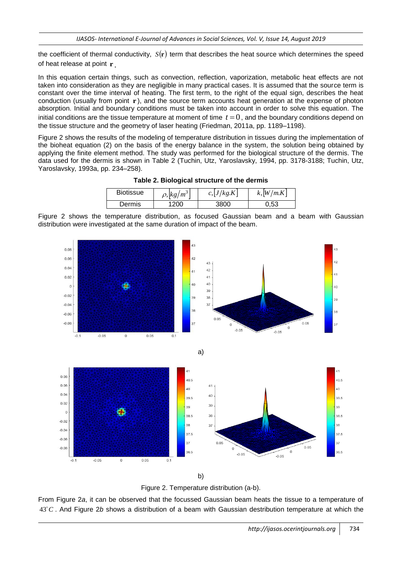the coefficient of thermal conductivity,  $S(\mathbf{r})$  term that describes the heat source which determines the speed of heat release at point **r** .

In this equation certain things, such as convection, reflection, vaporization, metabolic heat effects are not taken into consideration as they are negligible in many practical cases. It is assumed that the source term is constant over the time interval of heating. The first term, to the right of the equal sign, describes the heat conduction (usually from point r), and the source term accounts heat generation at the expense of photon absorption. Initial and boundary conditions must be taken into account in order to solve this equation. The initial conditions are the tissue temperature at moment of time  $t = 0$ , and the boundary conditions depend on the tissue structure and the geometry of laser heating (Friedman, 2011a, pp. 1189–1198).

Figure 2 shows the results of the modeling of temperature distribution in tissues during the implementation of the bioheat equation (2) on the basis of the energy balance in the system, the solution being obtained by applying the finite element method. The study was performed for the biological structure of the dermis. The data used for the dermis is shown in Table 2 (Tuchin, Utz, Yaroslavsky, 1994, pp. 3178-3188; Tuchin, Utz, Yaroslavsky, 1993a, pp. 234–258).

| <b>Biotissue</b> | $\rho$ , $ kg/m^3$ | c,  J/kg.K | k,  W/m.K |
|------------------|--------------------|------------|-----------|
| Dermis           | -200               | 3800       | 0,53      |

**Table 2. Biological structure of the dermis**

Figure 2 shows the temperature distribution, as focused Gaussian beam and a beam with Gaussian distribution were investigated at the same duration of impact of the beam.



b)

Figure 2. Temperature distribution (a-b).

From Figure 2*a*, it can be observed that the focussed Gaussian beam heats the tissue to a temperature of 43<sup>°</sup>C. And Figure 2*b* shows a distribution of a beam with Gaussian destribution temperature at which the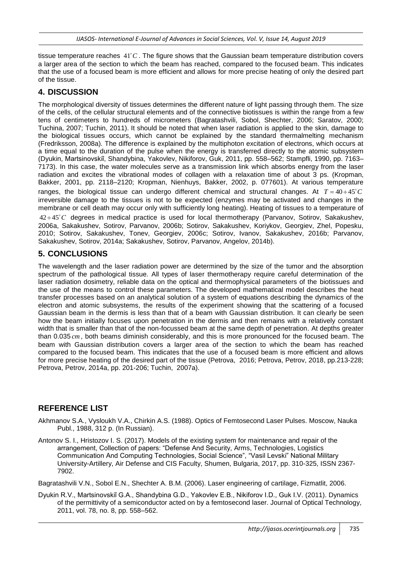tissue temperature reaches  $41^{\circ}$ C. The figure shows that the Gaussian beam temperature distribution covers a larger area of the section to which the beam has reached, compared to the focused beam. This indicates that the use of a focused beam is more efficient and allows for more precise heating of only the desired part of the tissue.

# **4. DISCUSSION**

The morphological diversity of tissues determines the different nature of light passing through them. The size of the cells, of the cellular structural elements and of the connective biotissues is within the range from a few tens of centimeters to hundreds of micrometers (Bagratashvili, Sobol, Shechter, 2006; Saratov, 2000; Tuchina, 2007; Tuchin, 2011). It should be noted that when laser radiation is applied to the skin, damage to the biological tissues occurs, which cannot be explained by the standard thermalmelting mechanism (Fredriksson, 2008a). The difference is explained by the multiphoton excitation of electrons, which occurs at a time equal to the duration of the pulse when the energy is transferred directly to the atomic subsystem (Dyukin, Martsinovskiǐ, Shandybina, Yakovlev, Nikiforov, Guk, 2011, pp. 558–562; Stampfli, 1990, pp. 7163– 7173). In this case, the water molecules serve as a transmission link which absorbs energy from the laser radiation and excites the vibrational modes of collagen with a relaxation time of about 3 ps. (Kropman, Bakker, 2001, pp. 2118–2120; Kropman, Nienhuys, Bakker, 2002, p. 077601). At various temperature ranges, the biological tissue can undergo different chemical and structural changes. At  $T = 40 \div 45^{\circ} C$ irreversible damage to the tissues is not to be expected (enzymes may be activated and changes in the membrane or cell death may occur only with sufficiently long heating). Heating of tissues to a temperature of 42÷45<sup>°</sup>C degrees in medical practice is used for local thermotherapy (Parvanov, Sotirov, Sakakushev, 2006a, Sakakushev, Sotirov, Parvanov, 2006b; Sotirov, Sakakushev, Koriykov, Georgiev, Zhel, Popesku, 2010; Sotirov, Sakakushev, Tonev, Georgiev, 2006c; Sotirov, Ivanov, Sakakushev, 2016b; Parvanov, Sakakushev, Sotirov, 2014a; Sakakushev, Sotirov, Parvanov, Angelov, 2014b).

# **5. CONCLUSIONS**

The wavelength and the laser radiation power are determined by the size of the tumor and the absorption spectrum of the pathological tissue. All types of laser thermotherapy require careful determination of the laser radiation dosimetry, reliable data on the optical and thermophysical parameters of the biotissues and the use of the means to control these parameters. The developed mathematical model describes the heat transfer processes based on an analytical solution of a system of equations describing the dynamics of the electron and atomic subsystems, the results of the experiment showing that the scattering of a focused Gaussian beam in the dermis is less than that of a beam with Gaussian distribution. It can clearly be seen how the beam initially focuses upon penetration in the dermis and then remains with a relatively constant width that is smaller than that of the non-focussed beam at the same depth of penetration. At depths greater than 0.035 *cm* , both beams diminish considerably, and this is more pronounced for the focused beam. The beam with Gaussian distribution covers a larger area of the section to which the beam has reached compared to the focused beam. This indicates that the use of a focused beam is more efficient and allows for more precise heating of the desired part of the tissue (Petrova, 2016; Petrova, Petrov, 2018, pp.213-228; Petrova, Petrov, 2014a, pp. 201-206; Tuchin, 2007a).

# **REFERENCE LIST**

Akhmanov S.A., Vysloukh V.A., Chirkin A.S. (1988). Optics of Femtosecond Laser Pulses. Moscow, Nauka Publ., 1988, 312 p. (In Russian).

Antonov S. I., Hristozov I. S. (2017). Models of the existing system for maintenance and repair of the arrangement, Collection of papers: "Defense And Security, Arms, Technologies, Logistics Communication And Computing Technologies, Social Science", "Vasil Levski" National Military University-Artillery, Air Defense and CIS Faculty, Shumen, Bulgaria, 2017, pp. 310-325, ISSN 2367- 7902.

Bagratashvili V.N., Sobol E.N., Shechter A. B.M. (2006). Laser engineering of cartilage, Fizmatlit, 2006.

Dyukin R.V., Martsinovskiǐ G.A., Shandybina G.D., Yakovlev E.B., Nikiforov I.D., Guk I.V. (2011). Dynamics of the permittivity of a semiconductor acted on by a femtosecond laser. Journal of Optical Technology, 2011, vol. 78, no. 8, pp. 558–562.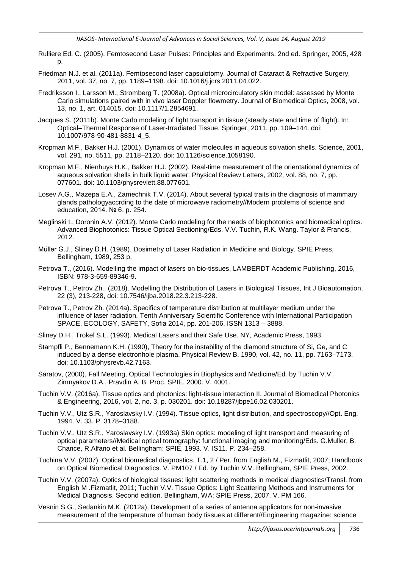- Rulliere Ed. C. (2005). Femtosecond Laser Pulses: Principles and Experiments. 2nd ed. Springer, 2005, 428 p.
- Friedman N.J. et al. (2011a). Femtosecond laser capsulotomy. Journal of Cataract & Refractive Surgery, 2011, vol. 37, no. 7, pp. 1189–1198. doi: 10.1016/j.jcrs.2011.04.022.
- Fredriksson I., Larsson M., Stromberg T. (2008a). Optical microcirculatory skin model: assessed by Monte Carlo simulations paired with in vivo laser Doppler flowmetry. Journal of Biomedical Optics, 2008, vol. 13, no. 1, art. 014015. doi: 10.1117/1.2854691.
- Jacques S. (2011b). Monte Carlo modeling of light transport in tissue (steady state and time of flight). In: Optical–Thermal Response of Laser-Irradiated Tissue. Springer, 2011, pp. 109–144. doi: 10.1007/978-90-481-8831-4\_5.
- Kropman M.F., Bakker H.J. (2001). Dynamics of water molecules in aqueous solvation shells. Science, 2001, vol. 291, no. 5511, pp. 2118–2120. doi: 10.1126/science.1058190.
- Kropman M.F., Nienhuys H.K., Bakker H.J. (2002). Real-time measurement of the orientational dynamics of aqueous solvation shells in bulk liquid water. Physical Review Letters, 2002, vol. 88, no. 7, pp. 077601. doi: 10.1103/physrevlett.88.077601.
- Losev A.G., Mazepa E.A., Zamechnik T.V. (2014). About several typical traits in the diagnosis of mammary glands pathologyaccrding to the date of microwave radiometry//Modern problems of science and education, 2014. № 6, p. 254.
- Meglinski I., Doronin A.V. (2012). Monte Carlo modeling for the needs of biophotonics and biomedical optics. Advanced Biophotonics: Tissue Optical Sectioning/Eds. V.V. Tuchin, R.K. Wang. Taylor & Francis, 2012.
- Müller G.J., Sliney D.H. (1989). Dosimetry of Laser Radiation in Medicine and Biology. SPIE Press, Bellingham, 1989, 253 p.
- Petrova T., (2016). Modelling the impact of lasers on bio-tissues, LAMBERDT Academic Publishing, 2016, ISBN: 978-3-659-89346-9.
- Petrova T., Petrov Zh., (2018). Modelling the Distribution of Lasers in Biological Tissues, Int J Bioautomation, 22 (3), 213-228, doi: 10.7546/ijba.2018.22.3.213-228.
- Petrova T., Petrov Zh. (2014a). Specifics of temperature distribution at multilayer medium under the influence of laser radiation, Tenth Anniversary Scientific Conference with International Participation SPACE, ECOLOGY, SAFETY, Sofia 2014, pp. 201-206, ISSN 1313 – 3888.
- Sliney D.H., Trokel S.L. (1993). Medical Lasers and their Safe Use. NY, Academic Press, 1993.
- Stampfli P., Bennemann K.H. (1990), Theory for the instability of the diamond structure of Si, Ge, and C induced by a dense electronhole plasma. Physical Review B, 1990, vol. 42, no. 11, pp. 7163–7173. doi: 10.1103/physrevb.42.7163.
- Saratov, (2000), Fall Meeting, Optical Technologies in Biophysics and Medicine/Ed. by Tuchin V.V., Zimnyakov D.A., Pravdin A. B. Proc. SPIE. 2000. V. 4001.
- Tuchin V.V. (2016a). Tissue optics and photonics: light-tissue interaction II. Journal of Biomedical Photonics & Engineering, 2016, vol. 2, no. 3, p. 030201. doi: 10.18287/jbpe16.02.030201.
- Tuchin V.V., Utz S.R., Yaroslavsky I.V. (1994). Tissue optics, light distribution, and spectroscopy//Opt. Eng. 1994. V. 33. P. 3178–3188.
- Tuchin V.V., Utz S.R., Yaroslavsky I.V. (1993a) Skin optics: modeling of light transport and measuring of optical parameters//Medical optical tomography: functional imaging and monitoring/Eds. G.Muller, B. Chance, R.Alfano et al. Bellingham: SPIE, 1993. V. IS11. P. 234–258.
- Tuchina V.V. (2007). Optical biomedical diagnostics. T.1, 2 / Per. from English M., Fizmatlit, 2007; Handbook on Optical Biomedical Diagnostics. V. PM107 / Ed. by Tuchin V.V. Bellingham, SPIE Press, 2002.
- Tuchin V.V. (2007a). Optics of biological tissues: light scattering methods in medical diagnostics/Transl. from English M .Fizmatlit, 2011; Tuchin V.V. Tissue Optics: Light Scattering Methods and Instruments for Medical Diagnosis. Second edition. Bellingham, WA: SPIE Press, 2007. V. PM 166.
- Vesnin S.G., Sedankin M.K. (2012a), Development of a series of antenna applicators for non-invasive measurement of the temperature of human body tissues at different//Engineering magazine: science